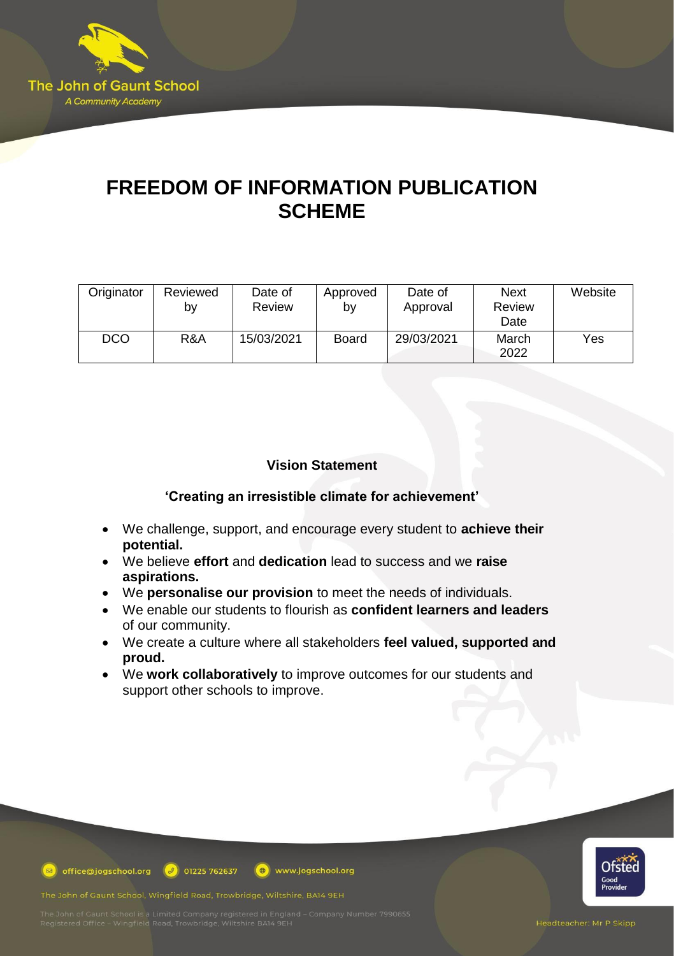

# **FREEDOM OF INFORMATION PUBLICATION SCHEME**

| Originator | Reviewed<br>b٧ | Date of<br><b>Review</b> | Approved<br>by | Date of<br>Approval | <b>Next</b><br><b>Review</b><br>Date | Website |
|------------|----------------|--------------------------|----------------|---------------------|--------------------------------------|---------|
| <b>DCO</b> | R&A            | 15/03/2021               | <b>Board</b>   | 29/03/2021          | March<br>2022                        | Yes     |

## **Vision Statement**

## **'Creating an irresistible climate for achievement'**

- We challenge, support, and encourage every student to **achieve their potential.**
- We believe **effort** and **dedication** lead to success and we **raise aspirations.**
- We **personalise our provision** to meet the needs of individuals.
- We enable our students to flourish as **confident learners and leaders** of our community.
- We create a culture where all stakeholders **feel valued, supported and proud.**
- We **work collaboratively** to improve outcomes for our students and support other schools to improve.

www.jogschool.org



**D** office@jogschool.org  $\boxed{\theta}$  01225 762637

The John of Gaunt School, Wingfield Road, Trowbridge, Wiltshire, BA14 9EH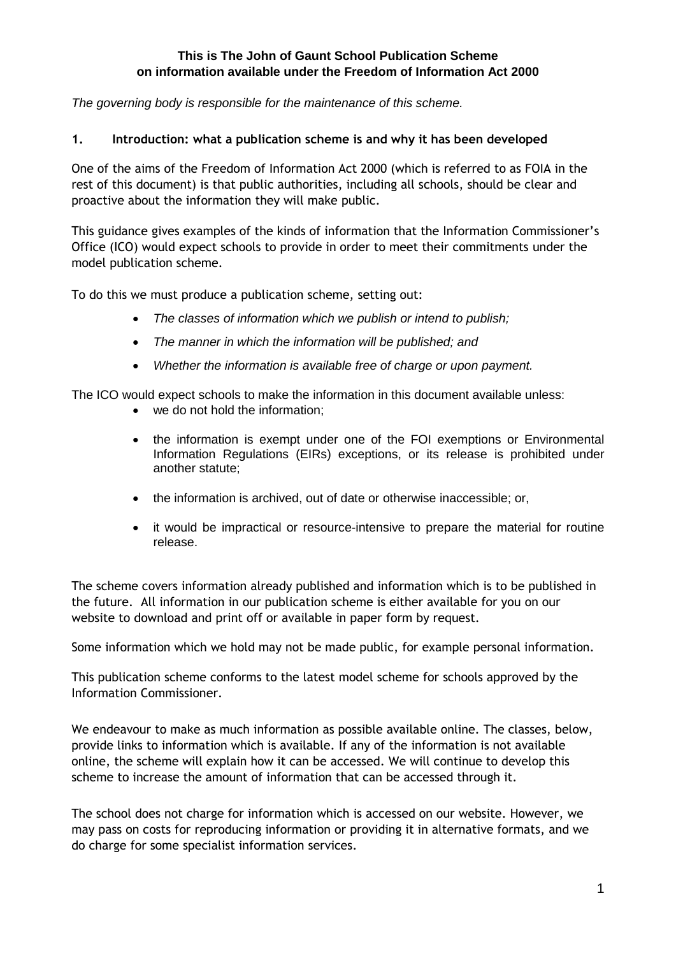#### **This is The John of Gaunt School Publication Scheme on information available under the Freedom of Information Act 2000**

*The governing body is responsible for the maintenance of this scheme.*

#### **1. Introduction: what a publication scheme is and why it has been developed**

One of the aims of the Freedom of Information Act 2000 (which is referred to as FOIA in the rest of this document) is that public authorities, including all schools, should be clear and proactive about the information they will make public.

This guidance gives examples of the kinds of information that the Information Commissioner's Office (ICO) would expect schools to provide in order to meet their commitments under the model publication scheme.

To do this we must produce a publication scheme, setting out:

- *The classes of information which we publish or intend to publish;*
- *The manner in which the information will be published; and*
- *Whether the information is available free of charge or upon payment.*

The ICO would expect schools to make the information in this document available unless:

- we do not hold the information;
- the information is exempt under one of the FOI exemptions or Environmental Information Regulations (EIRs) exceptions, or its release is prohibited under another statute;
- the information is archived, out of date or otherwise inaccessible; or,
- it would be impractical or resource-intensive to prepare the material for routine release.

The scheme covers information already published and information which is to be published in the future. All information in our publication scheme is either available for you on our website to download and print off or available in paper form by request.

Some information which we hold may not be made public, for example personal information.

This publication scheme conforms to the latest model scheme for schools approved by the Information Commissioner.

We endeavour to make as much information as possible available online. The classes, below, provide links to information which is available. If any of the information is not available online, the scheme will explain how it can be accessed. We will continue to develop this scheme to increase the amount of information that can be accessed through it.

The school does not charge for information which is accessed on our website. However, we may pass on costs for reproducing information or providing it in alternative formats, and we do charge for some specialist information services.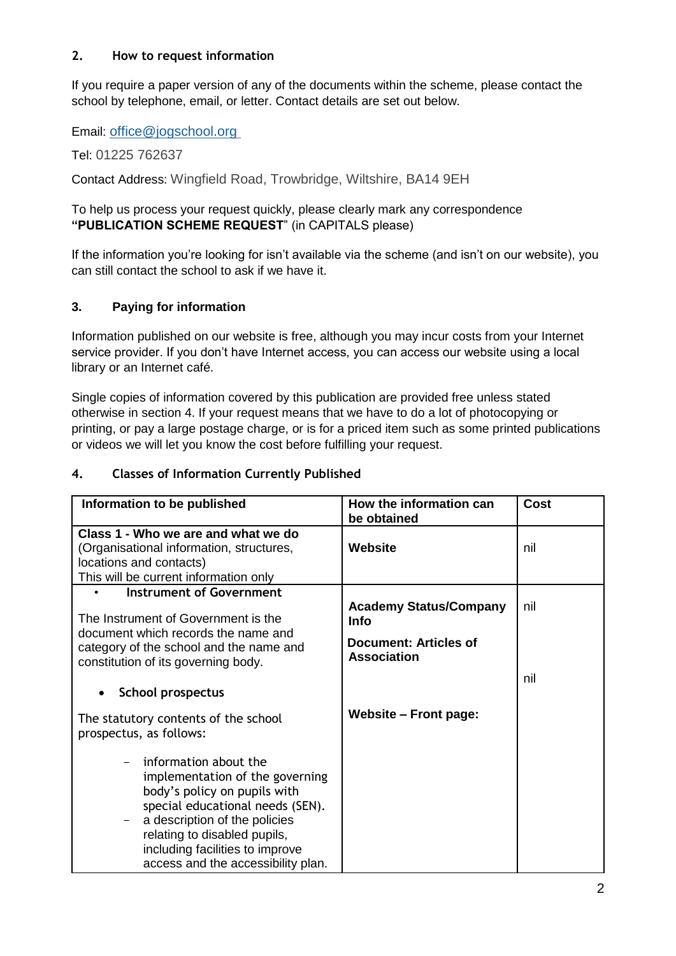## **2. How to request information**

If you require a paper version of any of the documents within the scheme, please contact the school by telephone, email, or letter. Contact details are set out below.

Email: [office@jogschool.org](http://office@jogschool.org/)

Tel: 01225 762637

Contact Address: Wingfield Road, Trowbridge, Wiltshire, BA14 9EH

## To help us process your request quickly, please clearly mark any correspondence **"PUBLICATION SCHEME REQUEST**" (in CAPITALS please)

If the information you're looking for isn't available via the scheme (and isn't on our website), you can still contact the school to ask if we have it.

## **3. Paying for information**

Information published on our website is free, although you may incur costs from your Internet service provider. If you don't have Internet access, you can access our website using a local library or an Internet café.

Single copies of information covered by this publication are provided free unless stated otherwise in section 4. If your request means that we have to do a lot of photocopying or printing, or pay a large postage charge, or is for a priced item such as some printed publications or videos we will let you know the cost before fulfilling your request.

## **4. Classes of Information Currently Published**

| Information to be published                                                                                                                                                                                                                                            | How the information can<br>be obtained                                                      | <b>Cost</b> |
|------------------------------------------------------------------------------------------------------------------------------------------------------------------------------------------------------------------------------------------------------------------------|---------------------------------------------------------------------------------------------|-------------|
| Class 1 - Who we are and what we do<br>(Organisational information, structures,<br>locations and contacts)<br>This will be current information only                                                                                                                    | Website                                                                                     | nil         |
| Instrument of Government<br>The Instrument of Government is the<br>document which records the name and<br>category of the school and the name and<br>constitution of its governing body.                                                                               | <b>Academy Status/Company</b><br>Info<br><b>Document: Articles of</b><br><b>Association</b> | nil<br>nil  |
| School prospectus<br>The statutory contents of the school<br>prospectus, as follows:                                                                                                                                                                                   | <b>Website - Front page:</b>                                                                |             |
| information about the<br>implementation of the governing<br>body's policy on pupils with<br>special educational needs (SEN).<br>a description of the policies<br>relating to disabled pupils,<br>including facilities to improve<br>access and the accessibility plan. |                                                                                             |             |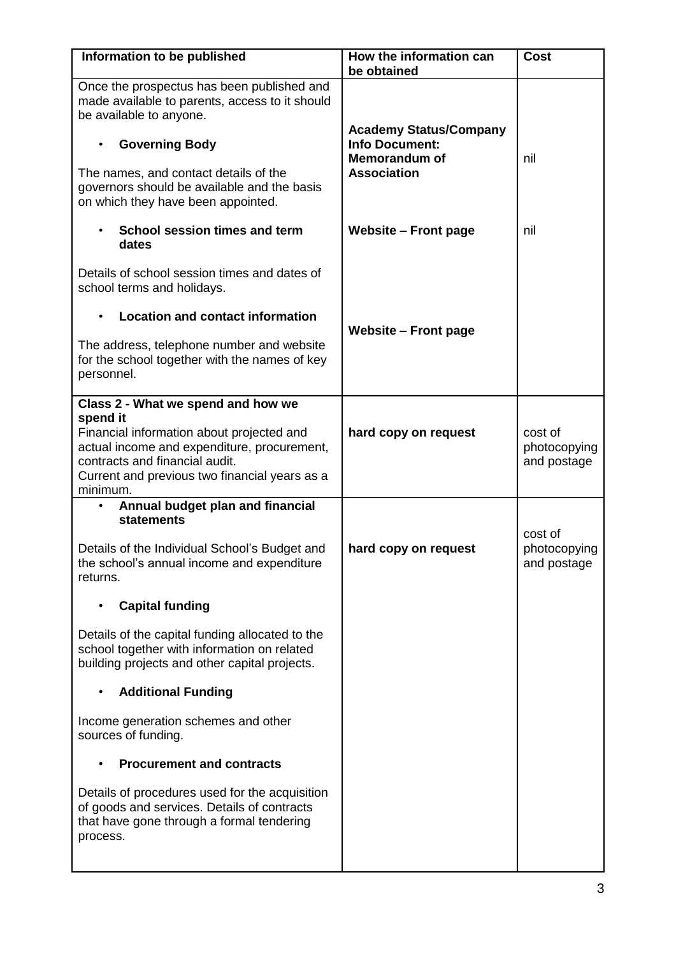| Information to be published                                                                                                                                                                                                                                                                 | How the information can<br>be obtained                                                               | <b>Cost</b>                            |
|---------------------------------------------------------------------------------------------------------------------------------------------------------------------------------------------------------------------------------------------------------------------------------------------|------------------------------------------------------------------------------------------------------|----------------------------------------|
| Once the prospectus has been published and<br>made available to parents, access to it should<br>be available to anyone.<br><b>Governing Body</b><br>$\bullet$<br>The names, and contact details of the<br>governors should be available and the basis<br>on which they have been appointed. | <b>Academy Status/Company</b><br><b>Info Document:</b><br><b>Memorandum of</b><br><b>Association</b> | nil                                    |
| School session times and term<br>dates                                                                                                                                                                                                                                                      | <b>Website - Front page</b>                                                                          | nil                                    |
| Details of school session times and dates of<br>school terms and holidays.                                                                                                                                                                                                                  |                                                                                                      |                                        |
| <b>Location and contact information</b>                                                                                                                                                                                                                                                     | <b>Website - Front page</b>                                                                          |                                        |
| The address, telephone number and website<br>for the school together with the names of key<br>personnel.                                                                                                                                                                                    |                                                                                                      |                                        |
| Class 2 - What we spend and how we<br>spend it                                                                                                                                                                                                                                              |                                                                                                      |                                        |
| Financial information about projected and<br>actual income and expenditure, procurement,<br>contracts and financial audit.<br>Current and previous two financial years as a<br>minimum.                                                                                                     | hard copy on request                                                                                 | cost of<br>photocopying<br>and postage |
| Annual budget plan and financial<br>٠<br><b>statements</b>                                                                                                                                                                                                                                  |                                                                                                      |                                        |
| Details of the Individual School's Budget and<br>the school's annual income and expenditure<br>returns.                                                                                                                                                                                     | hard copy on request                                                                                 | cost of<br>photocopying<br>and postage |
| <b>Capital funding</b>                                                                                                                                                                                                                                                                      |                                                                                                      |                                        |
| Details of the capital funding allocated to the<br>school together with information on related<br>building projects and other capital projects.                                                                                                                                             |                                                                                                      |                                        |
| <b>Additional Funding</b>                                                                                                                                                                                                                                                                   |                                                                                                      |                                        |
| Income generation schemes and other<br>sources of funding.                                                                                                                                                                                                                                  |                                                                                                      |                                        |
| <b>Procurement and contracts</b>                                                                                                                                                                                                                                                            |                                                                                                      |                                        |
| Details of procedures used for the acquisition<br>of goods and services. Details of contracts<br>that have gone through a formal tendering<br>process.                                                                                                                                      |                                                                                                      |                                        |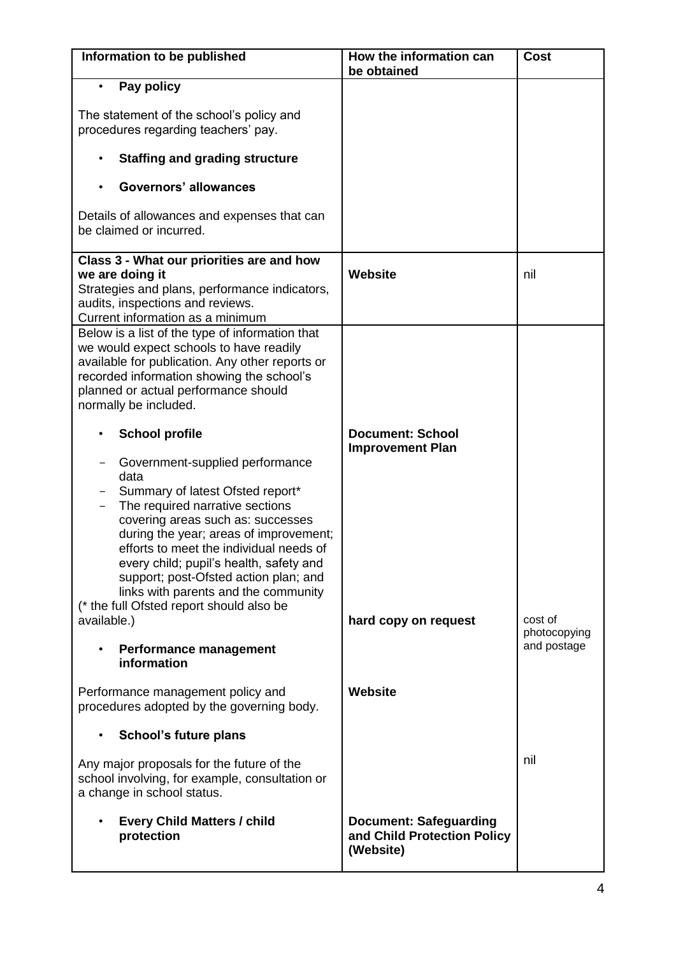| Information to be published                                                                                                                                                                                                                                                                                                                                                                                                                              | How the information can<br>be obtained                                     | <b>Cost</b>                 |
|----------------------------------------------------------------------------------------------------------------------------------------------------------------------------------------------------------------------------------------------------------------------------------------------------------------------------------------------------------------------------------------------------------------------------------------------------------|----------------------------------------------------------------------------|-----------------------------|
| Pay policy<br>The statement of the school's policy and<br>procedures regarding teachers' pay.<br><b>Staffing and grading structure</b><br>٠<br><b>Governors' allowances</b><br>Details of allowances and expenses that can<br>be claimed or incurred.<br>Class 3 - What our priorities are and how                                                                                                                                                       |                                                                            |                             |
| we are doing it<br>Strategies and plans, performance indicators,<br>audits, inspections and reviews.<br>Current information as a minimum                                                                                                                                                                                                                                                                                                                 | <b>Website</b>                                                             | nil                         |
| Below is a list of the type of information that<br>we would expect schools to have readily<br>available for publication. Any other reports or<br>recorded information showing the school's<br>planned or actual performance should<br>normally be included.                                                                                                                                                                                              |                                                                            |                             |
| <b>School profile</b><br>Government-supplied performance<br>data<br>Summary of latest Ofsted report*<br>The required narrative sections<br>covering areas such as: successes<br>during the year; areas of improvement;<br>efforts to meet the individual needs of<br>every child; pupil's health, safety and<br>support; post-Ofsted action plan; and<br>links with parents and the community<br>(* the full Ofsted report should also be<br>available.) | <b>Document: School</b><br><b>Improvement Plan</b><br>hard copy on request | cost of                     |
| <b>Performance management</b><br>information                                                                                                                                                                                                                                                                                                                                                                                                             |                                                                            | photocopying<br>and postage |
| Performance management policy and<br>procedures adopted by the governing body.<br><b>School's future plans</b>                                                                                                                                                                                                                                                                                                                                           | Website                                                                    |                             |
| Any major proposals for the future of the<br>school involving, for example, consultation or<br>a change in school status.                                                                                                                                                                                                                                                                                                                                |                                                                            | nil                         |
| <b>Every Child Matters / child</b><br>protection                                                                                                                                                                                                                                                                                                                                                                                                         | <b>Document: Safeguarding</b><br>and Child Protection Policy<br>(Website)  |                             |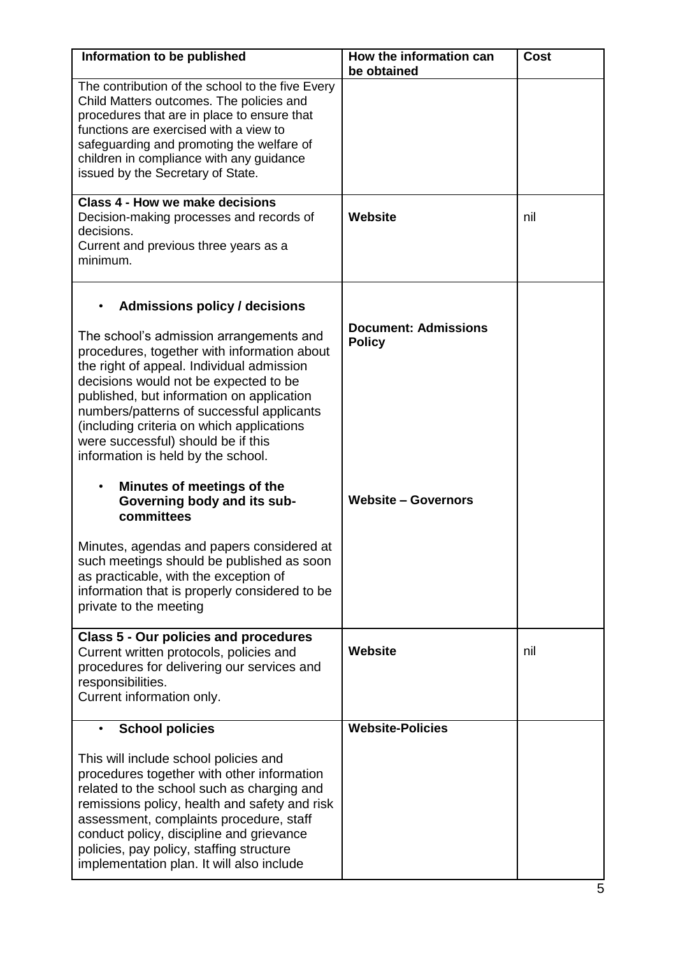| Information to be published                                                                                                                                                                                                                                                                                                                                                                     | How the information can<br>be obtained       | <b>Cost</b> |
|-------------------------------------------------------------------------------------------------------------------------------------------------------------------------------------------------------------------------------------------------------------------------------------------------------------------------------------------------------------------------------------------------|----------------------------------------------|-------------|
| The contribution of the school to the five Every<br>Child Matters outcomes. The policies and<br>procedures that are in place to ensure that<br>functions are exercised with a view to<br>safeguarding and promoting the welfare of<br>children in compliance with any guidance<br>issued by the Secretary of State.                                                                             |                                              |             |
| Class 4 - How we make decisions<br>Decision-making processes and records of<br>decisions.<br>Current and previous three years as a<br>minimum.                                                                                                                                                                                                                                                  | <b>Website</b>                               | nil         |
| <b>Admissions policy / decisions</b>                                                                                                                                                                                                                                                                                                                                                            |                                              |             |
| The school's admission arrangements and<br>procedures, together with information about<br>the right of appeal. Individual admission<br>decisions would not be expected to be<br>published, but information on application<br>numbers/patterns of successful applicants<br>(including criteria on which applications<br>were successful) should be if this<br>information is held by the school. | <b>Document: Admissions</b><br><b>Policy</b> |             |
| Minutes of meetings of the<br>$\bullet$<br>Governing body and its sub-<br>committees                                                                                                                                                                                                                                                                                                            | <b>Website - Governors</b>                   |             |
| Minutes, agendas and papers considered at<br>such meetings should be published as soon<br>as practicable, with the exception of<br>information that is properly considered to be<br>private to the meeting                                                                                                                                                                                      |                                              |             |
| <b>Class 5 - Our policies and procedures</b><br>Current written protocols, policies and<br>procedures for delivering our services and<br>responsibilities.<br>Current information only.                                                                                                                                                                                                         | <b>Website</b>                               | nil         |
| <b>School policies</b>                                                                                                                                                                                                                                                                                                                                                                          | <b>Website-Policies</b>                      |             |
| This will include school policies and<br>procedures together with other information<br>related to the school such as charging and<br>remissions policy, health and safety and risk<br>assessment, complaints procedure, staff<br>conduct policy, discipline and grievance<br>policies, pay policy, staffing structure<br>implementation plan. It will also include                              |                                              |             |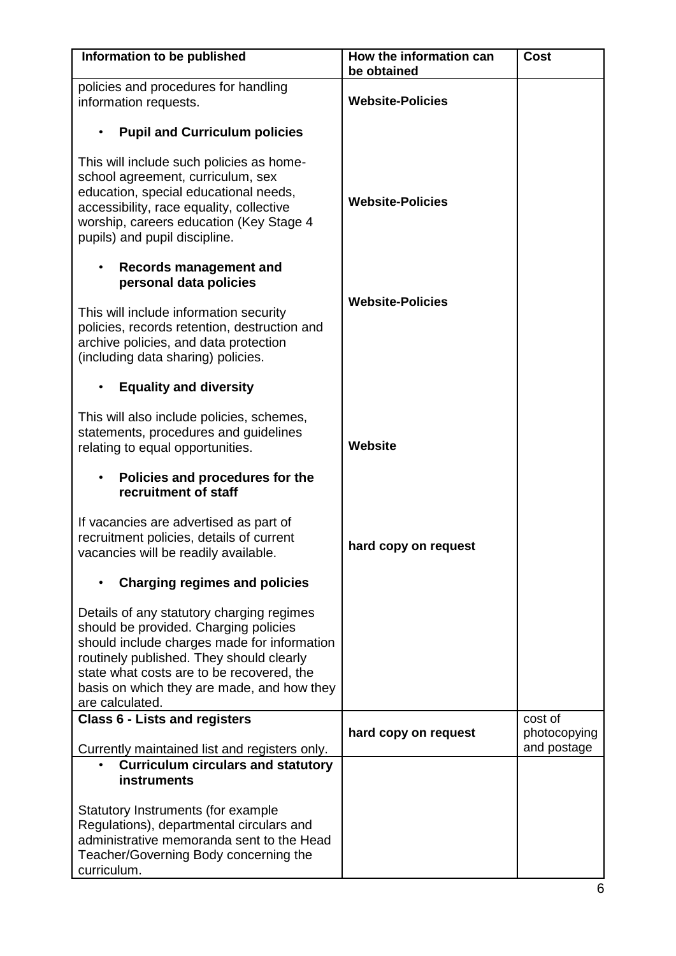| Information to be published                                                                                                                                                                                                                                                                 | How the information can<br>be obtained | <b>Cost</b>             |
|---------------------------------------------------------------------------------------------------------------------------------------------------------------------------------------------------------------------------------------------------------------------------------------------|----------------------------------------|-------------------------|
| policies and procedures for handling<br>information requests.                                                                                                                                                                                                                               | <b>Website-Policies</b>                |                         |
| <b>Pupil and Curriculum policies</b><br>$\bullet$                                                                                                                                                                                                                                           |                                        |                         |
| This will include such policies as home-<br>school agreement, curriculum, sex<br>education, special educational needs,<br>accessibility, race equality, collective<br>worship, careers education (Key Stage 4<br>pupils) and pupil discipline.                                              | <b>Website-Policies</b>                |                         |
| <b>Records management and</b><br>٠<br>personal data policies                                                                                                                                                                                                                                |                                        |                         |
| This will include information security<br>policies, records retention, destruction and<br>archive policies, and data protection<br>(including data sharing) policies.                                                                                                                       | <b>Website-Policies</b>                |                         |
| <b>Equality and diversity</b>                                                                                                                                                                                                                                                               |                                        |                         |
| This will also include policies, schemes,<br>statements, procedures and guidelines<br>relating to equal opportunities.                                                                                                                                                                      | <b>Website</b>                         |                         |
| Policies and procedures for the<br>$\bullet$<br>recruitment of staff                                                                                                                                                                                                                        |                                        |                         |
| If vacancies are advertised as part of<br>recruitment policies, details of current<br>vacancies will be readily available.                                                                                                                                                                  | hard copy on request                   |                         |
| <b>Charging regimes and policies</b>                                                                                                                                                                                                                                                        |                                        |                         |
| Details of any statutory charging regimes<br>should be provided. Charging policies<br>should include charges made for information<br>routinely published. They should clearly<br>state what costs are to be recovered, the<br>basis on which they are made, and how they<br>are calculated. |                                        |                         |
| <b>Class 6 - Lists and registers</b>                                                                                                                                                                                                                                                        | hard copy on request                   | cost of<br>photocopying |
| Currently maintained list and registers only.                                                                                                                                                                                                                                               |                                        | and postage             |
| <b>Curriculum circulars and statutory</b><br><b>instruments</b>                                                                                                                                                                                                                             |                                        |                         |
| Statutory Instruments (for example<br>Regulations), departmental circulars and<br>administrative memoranda sent to the Head<br>Teacher/Governing Body concerning the<br>curriculum.                                                                                                         |                                        |                         |